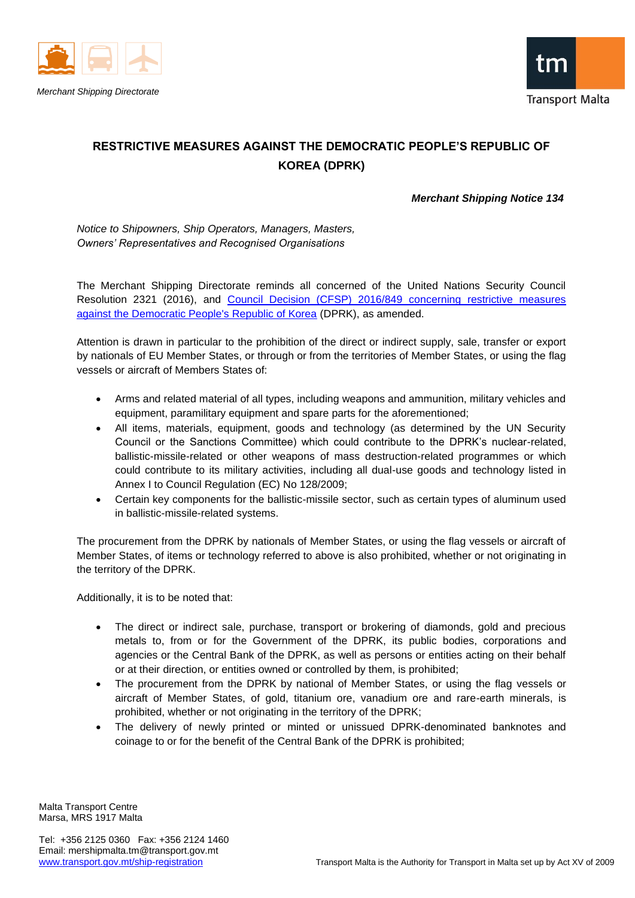



## **RESTRICTIVE MEASURES AGAINST THE DEMOCRATIC PEOPLE'S REPUBLIC OF KOREA (DPRK)**

## *Merchant Shipping Notice 134*

*Notice to Shipowners, Ship Operators, Managers, Masters, Owners' Representatives and Recognised Organisations*

The Merchant Shipping Directorate reminds all concerned of the United Nations Security Council Resolution 2321 (2016), and [Council Decision \(CFSP\) 2016/849 concerning restrictive measures](http://eur-lex.europa.eu/legal-content/EN/TXT/PDF/?uri=CELEX:02016D0849-20170117&rid=1)  [against the Democratic People's Republic of Korea](http://eur-lex.europa.eu/legal-content/EN/TXT/PDF/?uri=CELEX:02016D0849-20170117&rid=1) (DPRK), as amended.

Attention is drawn in particular to the prohibition of the direct or indirect supply, sale, transfer or export by nationals of EU Member States, or through or from the territories of Member States, or using the flag vessels or aircraft of Members States of:

- Arms and related material of all types, including weapons and ammunition, military vehicles and equipment, paramilitary equipment and spare parts for the aforementioned;
- All items, materials, equipment, goods and technology (as determined by the UN Security Council or the Sanctions Committee) which could contribute to the DPRK's nuclear-related, ballistic-missile-related or other weapons of mass destruction-related programmes or which could contribute to its military activities, including all dual-use goods and technology listed in Annex I to Council Regulation (EC) No 128/2009;
- Certain key components for the ballistic-missile sector, such as certain types of aluminum used in ballistic-missile-related systems.

The procurement from the DPRK by nationals of Member States, or using the flag vessels or aircraft of Member States, of items or technology referred to above is also prohibited, whether or not originating in the territory of the DPRK.

Additionally, it is to be noted that:

- The direct or indirect sale, purchase, transport or brokering of diamonds, gold and precious metals to, from or for the Government of the DPRK, its public bodies, corporations and agencies or the Central Bank of the DPRK, as well as persons or entities acting on their behalf or at their direction, or entities owned or controlled by them, is prohibited;
- The procurement from the DPRK by national of Member States, or using the flag vessels or aircraft of Member States, of gold, titanium ore, vanadium ore and rare-earth minerals, is prohibited, whether or not originating in the territory of the DPRK;
- The delivery of newly printed or minted or unissued DPRK-denominated banknotes and coinage to or for the benefit of the Central Bank of the DPRK is prohibited;

Malta Transport Centre Marsa, MRS 1917 Malta